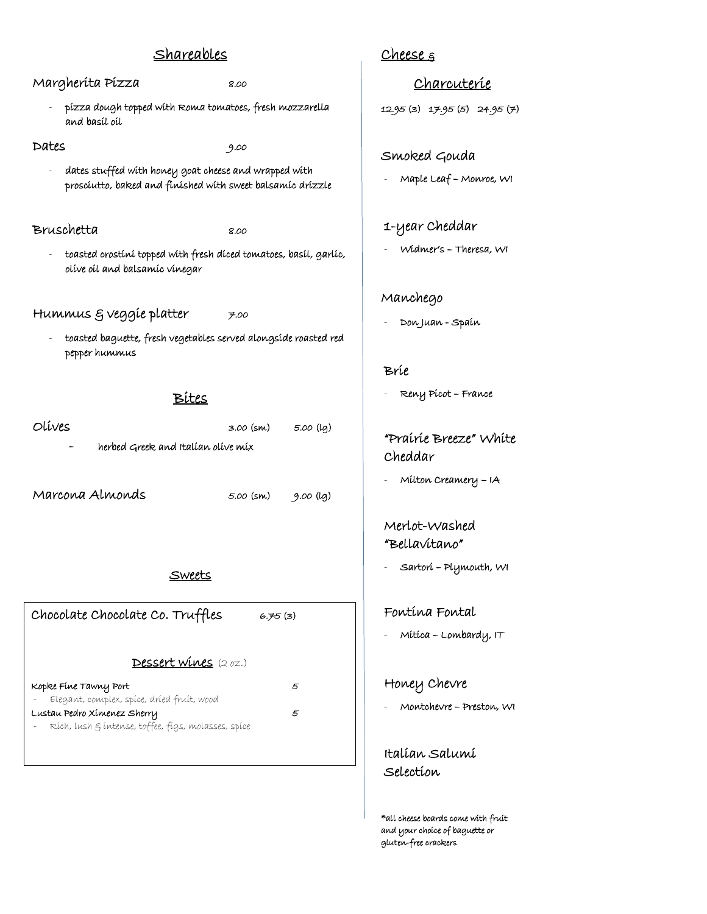# Shareables Margherita Pizza 8.00 - pizza dough topped with Roma tomatoes, fresh mozzarella

Dates 9.00

dates stuffed with honey goat cheese and wrapped with prosciutto, baked and finished with sweet balsamic drizzle

#### Bruschetta 8.00

and basil oil

- 
- toasted crostini topped with fresh diced tomatoes, basil, garlic, olive oil and balsamic vinegar

## Hummus  $\xi$  veggie platter  $\qquad \qquad$  7.00

- toasted baguette, fresh vegetables served alongside roasted red pepper hummus

Bites

| Olíves                             | 3.00 (sm) | 5.00 (lg) |  |  |
|------------------------------------|-----------|-----------|--|--|
| herbed Greek and Italian olive mix |           |           |  |  |
|                                    |           |           |  |  |
| Marcona Almonds                    | 5.00 (sm) | 9.00 (lg) |  |  |

#### Sweets

Chocolate Chocolate Co. Truffles 6.75 (3)

# Dessert wines (2 oz.)

| Kopke Fine Tawny Port                                 | 5 |
|-------------------------------------------------------|---|
| Elegant, complex, spíce, dríed fruít, wood            |   |
| Lustau Pedro Xímenez Sherry                           | 5 |
| - Rích, lush & íntense, toffee, fígs, molasses, spíce |   |
|                                                       |   |

# Cheese  $\varepsilon$

Charcuterie

12.95 (3) 17.95 (5) 24.95 (7)

### Smoked Gouda

- Maple Leaf Monroe, WI
- 1-year Cheddar
- Widmer's Theresa, WI

#### Manchego

- Don Juan - Spain

#### Brie

- Reny Picot – France

### "Prairie Breeze" White Cheddar

Milton Creamery - IA

### Merlot-Washed "Bellavitano"

- Sartori – Plymouth, WI

#### Fontina Fontal

Mítica - Lombardy, IT

#### Honey Chevre

- Montchevre – Preston, WI

## Italian Salumi Selection

\*all cheese boards come with fruit and your choice of baguette or gluten-free crackers